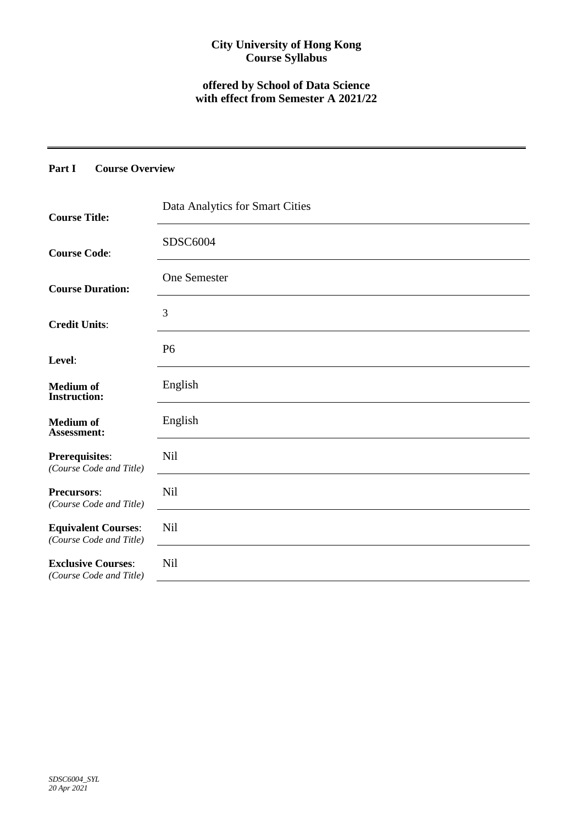## **City University of Hong Kong Course Syllabus**

# **offered by School of Data Science with effect from Semester A 2021/22**

## **Part I Course Overview**

| <b>Course Title:</b>                                  | Data Analytics for Smart Cities |
|-------------------------------------------------------|---------------------------------|
| <b>Course Code:</b>                                   | SDSC6004                        |
| <b>Course Duration:</b>                               | <b>One Semester</b>             |
| <b>Credit Units:</b>                                  | 3                               |
| Level:                                                | P <sub>6</sub>                  |
| <b>Medium</b> of<br><b>Instruction:</b>               | English                         |
| <b>Medium</b> of<br>Assessment:                       | English                         |
| <b>Prerequisites:</b><br>(Course Code and Title)      | <b>Nil</b>                      |
| <b>Precursors:</b><br>(Course Code and Title)         | <b>Nil</b>                      |
| <b>Equivalent Courses:</b><br>(Course Code and Title) | <b>Nil</b>                      |
| <b>Exclusive Courses:</b><br>(Course Code and Title)  | <b>Nil</b>                      |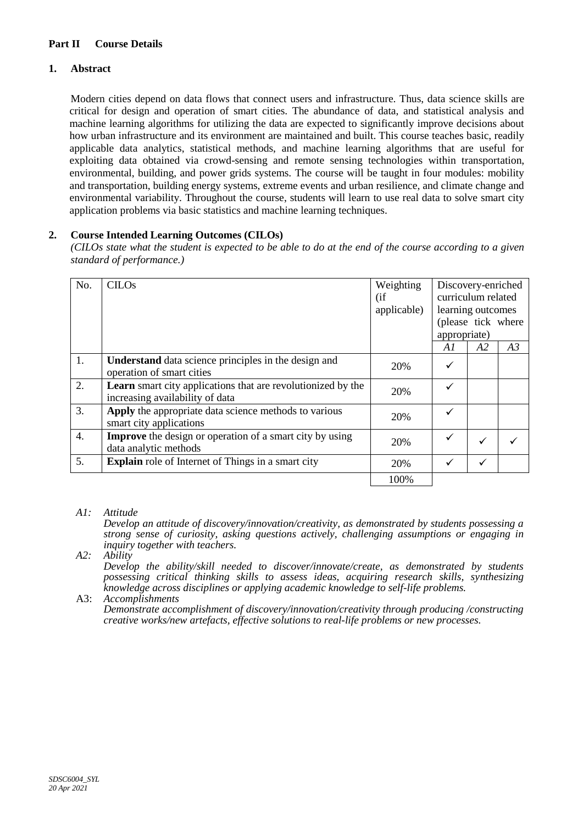### **Part II Course Details**

### **1. Abstract**

Modern cities depend on data flows that connect users and infrastructure. Thus, data science skills are critical for design and operation of smart cities. The abundance of data, and statistical analysis and machine learning algorithms for utilizing the data are expected to significantly improve decisions about how urban infrastructure and its environment are maintained and built. This course teaches basic, readily applicable data analytics, statistical methods, and machine learning algorithms that are useful for exploiting data obtained via crowd-sensing and remote sensing technologies within transportation, environmental, building, and power grids systems. The course will be taught in four modules: mobility and transportation, building energy systems, extreme events and urban resilience, and climate change and environmental variability. Throughout the course, students will learn to use real data to solve smart city application problems via basic statistics and machine learning techniques.

### **2. Course Intended Learning Outcomes (CILOs)**

*(CILOs state what the student is expected to be able to do at the end of the course according to a given standard of performance.)*

| No.              | <b>CILOs</b>                                                                                           | Weighting   | Discovery-enriched |                    |    |
|------------------|--------------------------------------------------------------------------------------------------------|-------------|--------------------|--------------------|----|
|                  |                                                                                                        | (i f)       |                    | curriculum related |    |
|                  |                                                                                                        | applicable) |                    | learning outcomes  |    |
|                  |                                                                                                        |             |                    | (please tick where |    |
|                  |                                                                                                        |             |                    | appropriate)       |    |
|                  |                                                                                                        |             | Al                 | A <sub>2</sub>     | A3 |
| 1.               | <b>Understand</b> data science principles in the design and<br>operation of smart cities               | 20%         | ✓                  |                    |    |
| 2.               | <b>Learn</b> smart city applications that are revolutionized by the<br>increasing availability of data | 20%         | ✓                  |                    |    |
| 3.               | Apply the appropriate data science methods to various<br>smart city applications                       | 20%         |                    |                    |    |
| $\overline{4}$ . | <b>Improve</b> the design or operation of a smart city by using<br>data analytic methods               | 20%         |                    |                    |    |
| 5.               | <b>Explain</b> role of Internet of Things in a smart city                                              | 20%         |                    |                    |    |
|                  |                                                                                                        | 100%        |                    |                    |    |

### *A1: Attitude*

*Develop an attitude of discovery/innovation/creativity, as demonstrated by students possessing a strong sense of curiosity, asking questions actively, challenging assumptions or engaging in inquiry together with teachers.*

#### *A2: Ability*

*Develop the ability/skill needed to discover/innovate/create, as demonstrated by students possessing critical thinking skills to assess ideas, acquiring research skills, synthesizing knowledge across disciplines or applying academic knowledge to self-life problems.*

#### A3: *Accomplishments*

*Demonstrate accomplishment of discovery/innovation/creativity through producing /constructing creative works/new artefacts, effective solutions to real-life problems or new processes.*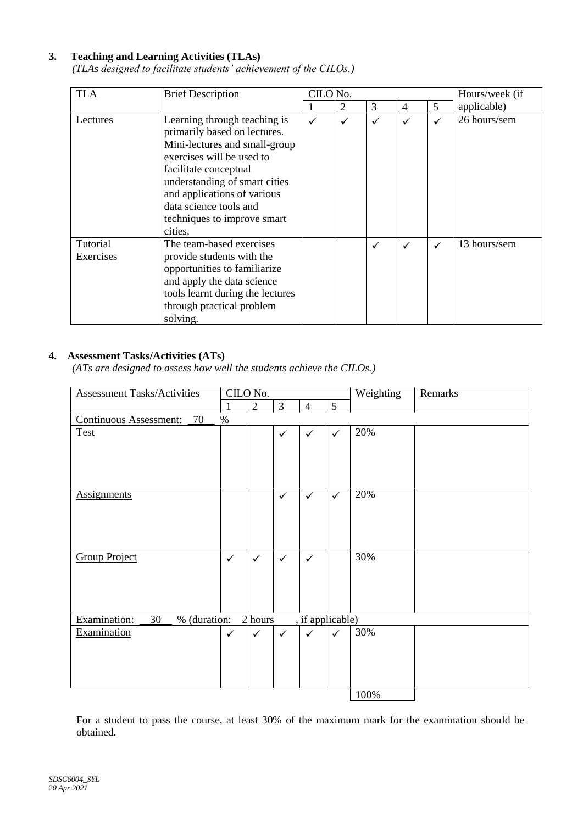### **3. Teaching and Learning Activities (TLAs)**

*(TLAs designed to facilitate students' achievement of the CILOs.)*

| <b>TLA</b>            | <b>Brief Description</b>                                                                                                                                                                                                                                                                | CILO No. |                | Hours/week (if |   |              |              |
|-----------------------|-----------------------------------------------------------------------------------------------------------------------------------------------------------------------------------------------------------------------------------------------------------------------------------------|----------|----------------|----------------|---|--------------|--------------|
|                       |                                                                                                                                                                                                                                                                                         |          | $\overline{2}$ | 3              | 4 | 5            | applicable)  |
| Lectures              | Learning through teaching is<br>primarily based on lectures.<br>Mini-lectures and small-group<br>exercises will be used to<br>facilitate conceptual<br>understanding of smart cities<br>and applications of various<br>data science tools and<br>techniques to improve smart<br>cities. | ✓        | ✓              | ✓              | ✓ | ✓            | 26 hours/sem |
| Tutorial<br>Exercises | The team-based exercises<br>provide students with the<br>opportunities to familiarize<br>and apply the data science<br>tools learnt during the lectures<br>through practical problem<br>solving.                                                                                        |          |                | ✓              | ✓ | $\checkmark$ | 13 hours/sem |

### **4. Assessment Tasks/Activities (ATs)**

*(ATs are designed to assess how well the students achieve the CILOs.)*

| <b>Assessment Tasks/Activities</b>                                | CILO No.     |              |                |                |              | Weighting | Remarks |
|-------------------------------------------------------------------|--------------|--------------|----------------|----------------|--------------|-----------|---------|
|                                                                   | 1            | $\mathbf{2}$ | $\overline{3}$ | $\overline{4}$ | 5            |           |         |
| <b>Continuous Assessment:</b><br>70<br>$\%$                       |              |              |                |                |              |           |         |
| <b>Test</b>                                                       |              |              | ✓              | $\checkmark$   | $\checkmark$ | 20%       |         |
| <b>Assignments</b>                                                |              |              | $\checkmark$   | $\checkmark$   | $\checkmark$ | 20%       |         |
| <b>Group Project</b>                                              | $\checkmark$ | $\checkmark$ | $\checkmark$   | $\checkmark$   |              | 30%       |         |
| Examination:<br>% (duration:<br>30<br>2 hours<br>, if applicable) |              |              |                |                |              |           |         |
| Examination                                                       | $\checkmark$ | $\checkmark$ | $\checkmark$   | $\checkmark$   | $\checkmark$ | 30%       |         |
|                                                                   |              |              |                |                |              | 100%      |         |

For a student to pass the course, at least 30% of the maximum mark for the examination should be obtained.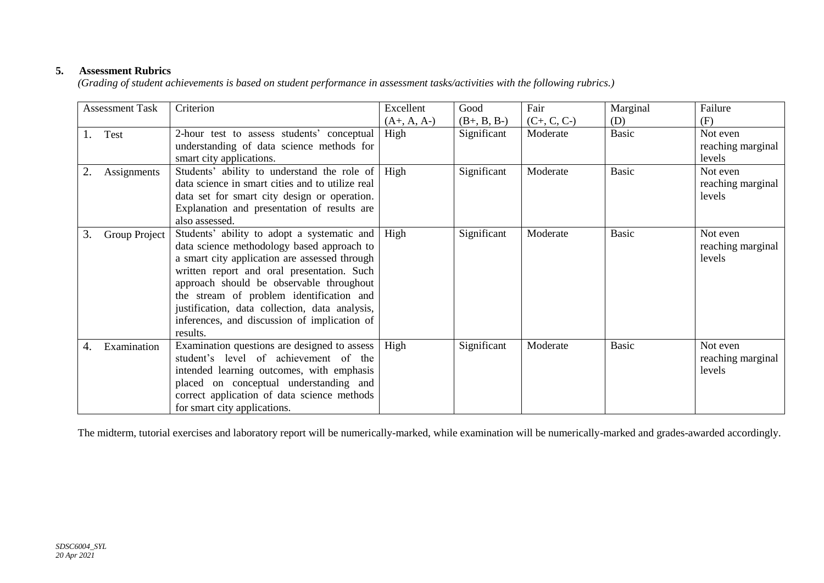### **5. Assessment Rubrics**

*(Grading of student achievements is based on student performance in assessment tasks/activities with the following rubrics.)*

| <b>Assessment Task</b> |               | Criterion                                                                                                                                                                                                                                                                                                                                                                                      | Excellent     | Good          | Fair          | Marginal     | Failure                                 |
|------------------------|---------------|------------------------------------------------------------------------------------------------------------------------------------------------------------------------------------------------------------------------------------------------------------------------------------------------------------------------------------------------------------------------------------------------|---------------|---------------|---------------|--------------|-----------------------------------------|
|                        |               |                                                                                                                                                                                                                                                                                                                                                                                                | $(A+, A, A-)$ | $(B+, B, B-)$ | $(C+, C, C-)$ | (D)          | (F)                                     |
| Test<br>1.             |               | 2-hour test to assess students' conceptual                                                                                                                                                                                                                                                                                                                                                     | High          | Significant   | Moderate      | <b>Basic</b> | Not even                                |
|                        |               | understanding of data science methods for<br>smart city applications.                                                                                                                                                                                                                                                                                                                          |               |               |               |              | reaching marginal<br>levels             |
|                        | Assignments   | Students' ability to understand the role of<br>data science in smart cities and to utilize real<br>data set for smart city design or operation.<br>Explanation and presentation of results are<br>also assessed.                                                                                                                                                                               | High          | Significant   | Moderate      | <b>Basic</b> | Not even<br>reaching marginal<br>levels |
| 3.                     | Group Project | Students' ability to adopt a systematic and<br>data science methodology based approach to<br>a smart city application are assessed through<br>written report and oral presentation. Such<br>approach should be observable throughout<br>the stream of problem identification and<br>justification, data collection, data analysis,<br>inferences, and discussion of implication of<br>results. | High          | Significant   | Moderate      | <b>Basic</b> | Not even<br>reaching marginal<br>levels |
| 4.                     | Examination   | Examination questions are designed to assess<br>student's level of achievement of the<br>intended learning outcomes, with emphasis<br>placed on conceptual understanding and<br>correct application of data science methods<br>for smart city applications.                                                                                                                                    | High          | Significant   | Moderate      | <b>Basic</b> | Not even<br>reaching marginal<br>levels |

The midterm, tutorial exercises and laboratory report will be numerically-marked, while examination will be numerically-marked and grades-awarded accordingly.